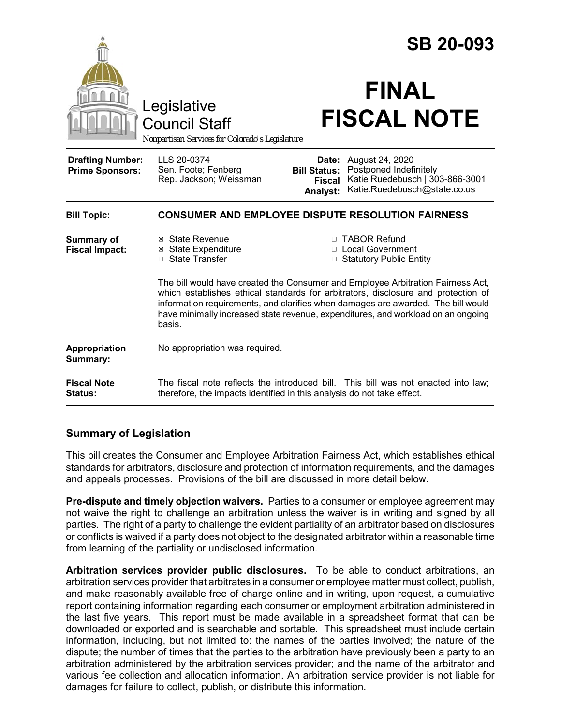|                                                   |                                                                                                                                                                                                                                                                                                                                                        | <b>SB 20-093</b>                                          |                                                                                                              |  |
|---------------------------------------------------|--------------------------------------------------------------------------------------------------------------------------------------------------------------------------------------------------------------------------------------------------------------------------------------------------------------------------------------------------------|-----------------------------------------------------------|--------------------------------------------------------------------------------------------------------------|--|
|                                                   | Legislative<br><b>Council Staff</b><br>Nonpartisan Services for Colorado's Legislature                                                                                                                                                                                                                                                                 |                                                           | <b>FINAL</b><br><b>FISCAL NOTE</b>                                                                           |  |
| <b>Drafting Number:</b><br><b>Prime Sponsors:</b> | LLS 20-0374<br>Sen. Foote; Fenberg<br>Rep. Jackson; Weissman                                                                                                                                                                                                                                                                                           | Date:<br><b>Bill Status:</b><br><b>Fiscal</b><br>Analyst: | August 24, 2020<br>Postponed Indefinitely<br>Katie Ruedebusch   303-866-3001<br>Katie.Ruedebusch@state.co.us |  |
| <b>Bill Topic:</b>                                | <b>CONSUMER AND EMPLOYEE DISPUTE RESOLUTION FAIRNESS</b>                                                                                                                                                                                                                                                                                               |                                                           |                                                                                                              |  |
| <b>Summary of</b><br><b>Fiscal Impact:</b>        | ⊠ State Revenue<br><b>⊠</b> State Expenditure<br>□ State Transfer                                                                                                                                                                                                                                                                                      |                                                           | □ TABOR Refund<br>□ Local Government<br>□ Statutory Public Entity                                            |  |
|                                                   | The bill would have created the Consumer and Employee Arbitration Fairness Act,<br>which establishes ethical standards for arbitrators, disclosure and protection of<br>information requirements, and clarifies when damages are awarded. The bill would<br>have minimally increased state revenue, expenditures, and workload on an ongoing<br>basis. |                                                           |                                                                                                              |  |
| Appropriation<br>Summary:                         | No appropriation was required.                                                                                                                                                                                                                                                                                                                         |                                                           |                                                                                                              |  |
| <b>Fiscal Note</b><br><b>Status:</b>              | therefore, the impacts identified in this analysis do not take effect.                                                                                                                                                                                                                                                                                 |                                                           | The fiscal note reflects the introduced bill. This bill was not enacted into law;                            |  |

# **Summary of Legislation**

This bill creates the Consumer and Employee Arbitration Fairness Act, which establishes ethical standards for arbitrators, disclosure and protection of information requirements, and the damages and appeals processes. Provisions of the bill are discussed in more detail below.

**Pre-dispute and timely objection waivers.** Parties to a consumer or employee agreement may not waive the right to challenge an arbitration unless the waiver is in writing and signed by all parties. The right of a party to challenge the evident partiality of an arbitrator based on disclosures or conflicts is waived if a party does not object to the designated arbitrator within a reasonable time from learning of the partiality or undisclosed information.

**Arbitration services provider public disclosures.** To be able to conduct arbitrations, an arbitration services provider that arbitrates in a consumer or employee matter must collect, publish, and make reasonably available free of charge online and in writing, upon request, a cumulative report containing information regarding each consumer or employment arbitration administered in the last five years. This report must be made available in a spreadsheet format that can be downloaded or exported and is searchable and sortable. This spreadsheet must include certain information, including, but not limited to: the names of the parties involved; the nature of the dispute; the number of times that the parties to the arbitration have previously been a party to an arbitration administered by the arbitration services provider; and the name of the arbitrator and various fee collection and allocation information. An arbitration service provider is not liable for damages for failure to collect, publish, or distribute this information.